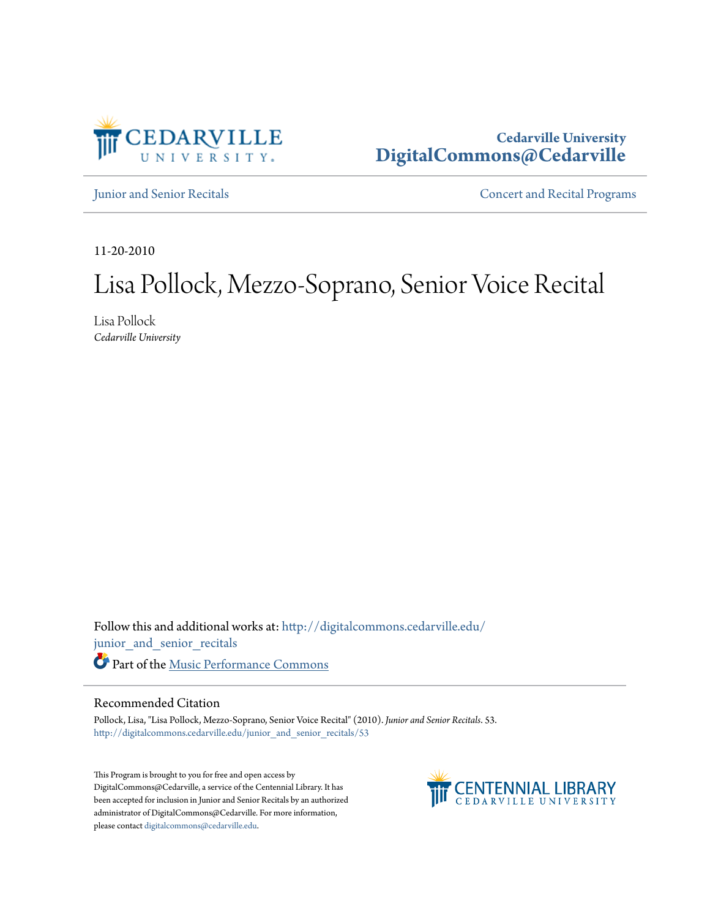

## **Cedarville University [DigitalCommons@Cedarville](http://digitalcommons.cedarville.edu?utm_source=digitalcommons.cedarville.edu%2Fjunior_and_senior_recitals%2F53&utm_medium=PDF&utm_campaign=PDFCoverPages)**

[Junior and Senior Recitals](http://digitalcommons.cedarville.edu/junior_and_senior_recitals?utm_source=digitalcommons.cedarville.edu%2Fjunior_and_senior_recitals%2F53&utm_medium=PDF&utm_campaign=PDFCoverPages) **[Concert and Recital Programs](http://digitalcommons.cedarville.edu/concert_and_recital_programs?utm_source=digitalcommons.cedarville.edu%2Fjunior_and_senior_recitals%2F53&utm_medium=PDF&utm_campaign=PDFCoverPages)** 

11-20-2010

# Lisa Pollock, Mezzo-Soprano, Senior Voice Recital

Lisa Pollock *Cedarville University*

Follow this and additional works at: [http://digitalcommons.cedarville.edu/](http://digitalcommons.cedarville.edu/junior_and_senior_recitals?utm_source=digitalcommons.cedarville.edu%2Fjunior_and_senior_recitals%2F53&utm_medium=PDF&utm_campaign=PDFCoverPages) [junior\\_and\\_senior\\_recitals](http://digitalcommons.cedarville.edu/junior_and_senior_recitals?utm_source=digitalcommons.cedarville.edu%2Fjunior_and_senior_recitals%2F53&utm_medium=PDF&utm_campaign=PDFCoverPages) Part of the [Music Performance Commons](http://network.bepress.com/hgg/discipline/1128?utm_source=digitalcommons.cedarville.edu%2Fjunior_and_senior_recitals%2F53&utm_medium=PDF&utm_campaign=PDFCoverPages)

### Recommended Citation

Pollock, Lisa, "Lisa Pollock, Mezzo-Soprano, Senior Voice Recital" (2010). *Junior and Senior Recitals*. 53. [http://digitalcommons.cedarville.edu/junior\\_and\\_senior\\_recitals/53](http://digitalcommons.cedarville.edu/junior_and_senior_recitals/53?utm_source=digitalcommons.cedarville.edu%2Fjunior_and_senior_recitals%2F53&utm_medium=PDF&utm_campaign=PDFCoverPages)

This Program is brought to you for free and open access by DigitalCommons@Cedarville, a service of the Centennial Library. It has been accepted for inclusion in Junior and Senior Recitals by an authorized administrator of DigitalCommons@Cedarville. For more information, please contact [digitalcommons@cedarville.edu.](mailto:digitalcommons@cedarville.edu)

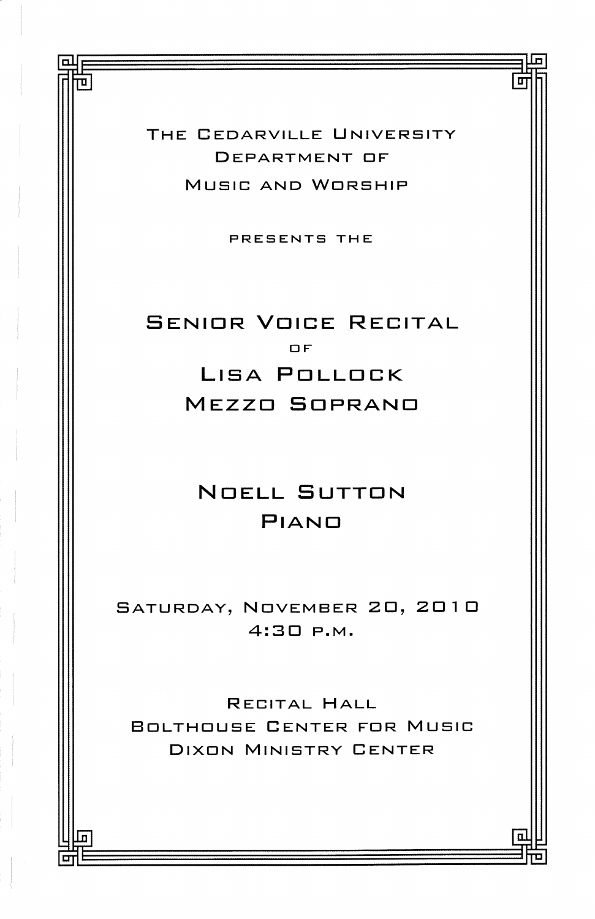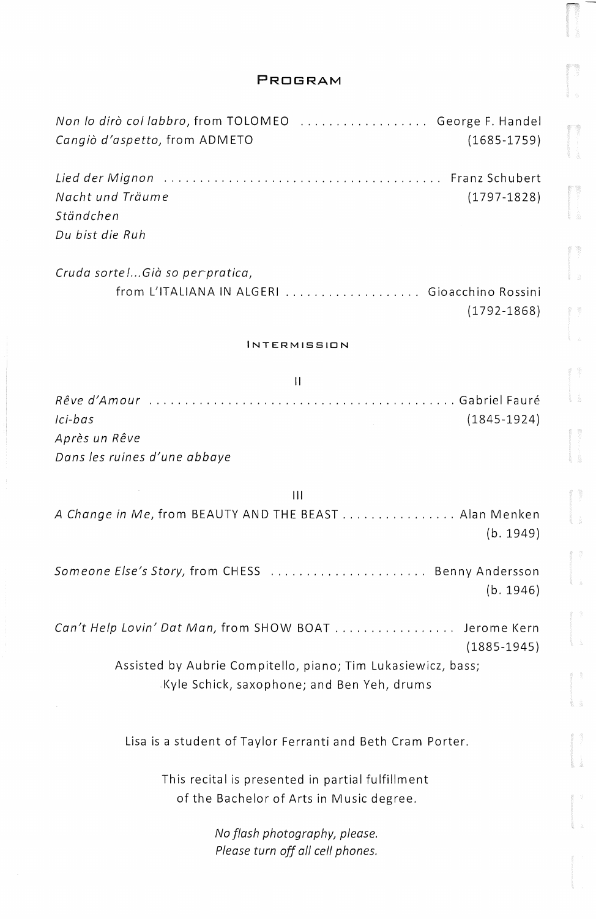#### **PROGRAM**

| Non lo dirò col labbro, from TOLOMEO  George F. Handel<br>Cangiò d'aspetto, from ADMETO<br>$(1685 - 1759)$ |
|------------------------------------------------------------------------------------------------------------|
| Nacht und Träume<br>$(1797 - 1828)$<br>Ständchen                                                           |
| Du bist die Ruh                                                                                            |
| Cruda sorte !Già so per pratica,                                                                           |
| from L'ITALIANA IN ALGERI  Gioacchino Rossini<br>$(1792 - 1868)$                                           |
| <b>INTERMISSION</b>                                                                                        |
| $\mathbf{H}$                                                                                               |
| Ici-bas<br>$(1845 - 1924)$                                                                                 |
| Après un Rêve                                                                                              |
| Dans les ruines d'une abbaye                                                                               |
| Ш                                                                                                          |
| A Change in Me, from BEAUTY AND THE BEAST Alan Menken<br>(b. 1949)                                         |
| Someone Else's Story, from CHESS  Benny Andersson<br>(b. 1946)                                             |
| Can't Help Lovin' Dat Man, from SHOW BOAT Jerome Kern<br>$(1885 - 1945)$                                   |
| Assisted by Aubrie Compitello, piano; Tim Lukasiewicz, bass;                                               |
| Kyle Schick, saxophone; and Ben Yeh, drums                                                                 |
| Lisa is a student of Taylor Ferranti and Beth Cram Porter.                                                 |
| This recital is presented in partial fulfillment                                                           |
| of the Bachelor of Arts in Music degree.                                                                   |
| No flash photography, please.<br>Please turn off all cell phones.                                          |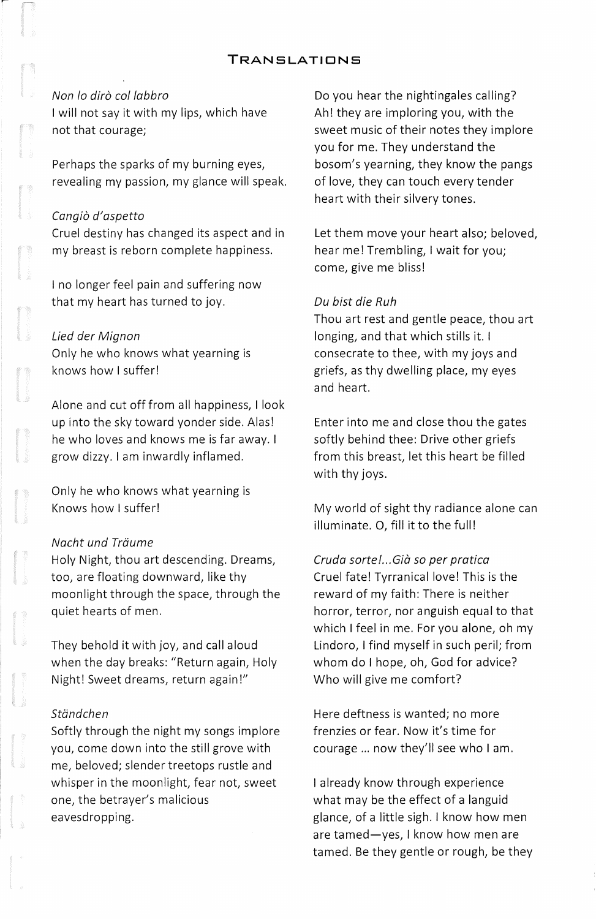#### **TRANSLATIONS**

#### Non lo dirò col labbro

I will not say it with my lips, which have not that courage;

Perhaps the sparks of my burning eyes, revealing my passion, my glance will speak.

#### Canaiò d'aspetto

Cruel destiny has changed its aspect and in my breast is reborn complete happiness.

I no longer feel pain and suffering now that my heart has turned to joy.

#### Lied der Mignon

Only he who knows what yearning is knows how I suffer!

Alone and cut off from all happiness, I look up into the sky toward yonder side. Alas! he who loves and knows me is far away. I grow dizzy. I am inwardly inflamed.

Only he who knows what yearning is Knows how I suffer!

#### Nacht und Träume

Holy Night, thou art descending. Dreams, too, are floating downward, like thy moonlight through the space, through the quiet hearts of men.

They behold it with joy, and call aloud when the day breaks: "Return again, Holy Night! Sweet dreams, return again!"

#### Ständchen

Softly through the night my songs implore you, come down into the still grove with me, beloved; slender treetops rustle and whisper in the moonlight, fear not, sweet one, the betrayer's malicious eavesdropping.

Do you hear the nightingales calling? Ah! they are imploring you, with the sweet music of their notes they implore you for me. They understand the bosom's yearning, they know the pangs of love, they can touch every tender heart with their silvery tones.

Let them move your heart also; beloved, hear me! Trembling, I wait for you; come, give me bliss!

#### Du bist die Ruh

Thou art rest and gentle peace, thou art longing, and that which stills it. I consecrate to thee, with my joys and griefs, as thy dwelling place, my eyes and heart.

Enter into me and close thou the gates softly behind thee: Drive other griefs from this breast, let this heart be filled with thy joys.

My world of sight thy radiance alone can illuminate. 0, fill it to the full!

Cruda sorte!... Già so per pratica Cruel fate! Tyrranical love! This is the reward of my faith: There is neither horror, terror, nor anguish equal to that which I feel in me. For you alone, oh my Lindoro, I find myself in such peril; from whom do I hope, oh, God for advice? Who will give me comfort?

Here deftness is wanted; no more frenzies or fear. Now it's time for courage ... now they'll see who I am.

I already know through experience what may be the effect of a languid glance, of a little sigh. I know how men are tamed-yes, I know how men are tamed. Be they gentle or rough, be they